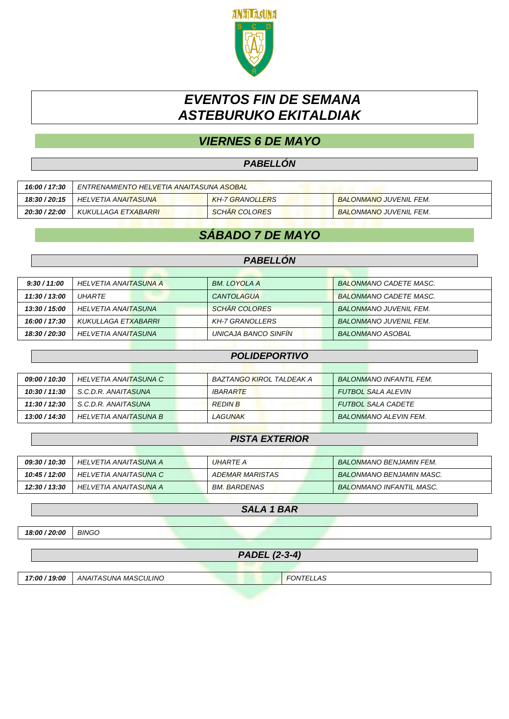

# *EVENTOS FIN DE SEMANA ASTEBURUKO EKITALDIAK*

## *VIERNES 6 DE MAYO*

### *PABELLÓN*

| 16:00 / 17:30 | ENTRENAMIENTO HELVETIA ANAITASUNA ASOBAL |                        |                               |
|---------------|------------------------------------------|------------------------|-------------------------------|
| 18:30 / 20:15 | HELVETIA ANAITASUNA                      | <b>KH-7 GRANOLLERS</b> | <b>BALONMANO JUVENIL FEM.</b> |
| 20:30 / 22:00 | KUKULLAGA ETXABARRI                      | <b>SCHAR COLORES</b>   | <b>BALONMANO JUVENIL FEM.</b> |

### *SÁBADO 7 DE MAYO*

#### *PABELLÓN*

| 9:30 / 11:00  | HELVETIA ANAITASUNA A | BM. LOYOLA A         | BALONMANO CADETE MASC.        |
|---------------|-----------------------|----------------------|-------------------------------|
| 11:30 / 13:00 | <i>UHARTE</i>         | CANTOLAGUA           | <b>BALONMANO CADETE MASC.</b> |
| 13:30 / 15:00 | HELVETIA ANAITASUNA   | <b>SCHÄR COLORES</b> | <b>BALONMANO JUVENIL FEM.</b> |
| 16:00 / 17:30 | KUKULLAGA ETXABARRI   | KH-7 GRANOLLERS      | <b>BALONMANO JUVENIL FEM.</b> |
| 18:30 / 20:30 | HELVETIA ANAITASUNA   | UNICAJA BANCO SINFIN | <b>BALONMANO ASOBAL</b>       |

#### *POLIDEPORTIVO*

| <i><b>09:00 / 10:30</b></i> | HELVETIA ANAITASUNA C | BAZTANGO KIROL TALDEAK A | <b>BALONMANO INFANTIL FEM.</b> |
|-----------------------------|-----------------------|--------------------------|--------------------------------|
| 10:30 / 11:30               | S.C.D.R. ANAITASUNA   | <i><b>IBARARTE</b></i>   | <b>FUTBOL SALA ALEVIN</b>      |
| 11:30 / 12:30               | S.C.D.R. ANAITASUNA   | <b>REDIN B</b>           | <b>FUTBOL SALA CADETE</b>      |
| 13:00 / 14:30               | HELVETIA ANAITASUNA B | LAGUNAK                  | <b>BALONMANO ALEVIN FEM.</b>   |

#### *PISTA EXTERIOR*

| <i><b>09:30 / 10:30</b></i> | HELVETIA ANAITASUNA A | UHARTE A            | <b>BALONMANO BENJAMIN FEM.</b>  |
|-----------------------------|-----------------------|---------------------|---------------------------------|
| 10:45 / 12:00               | HELVETIA ANAITASUNA C | ADEMAR MARISTAS     | BALONMANO BENJAMIN MASC.        |
| 12:30 / 13:30               | HELVETIA ANAITASUNA A | <i>BM. BARDENAS</i> | <b>BALONMANO INFANTIL MASC.</b> |

#### *SALA 1 BAR*

*18:00 / 20:00 BINGO*

*PADEL (2-3-4)*

*17:00 / 19:00 ANAITASUNA MASCULINO FONTELLAS*